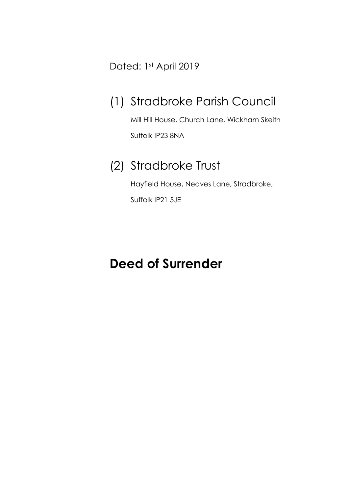Dated: 1st April 2019

## (1) Stradbroke Parish Council

Mill Hill House, Church Lane, Wickham Skeith Suffolk IP23 8NA

### (2) Stradbroke Trust

Hayfield House, Neaves Lane, Stradbroke, Suffolk IP21 5JE

# **Deed of Surrender**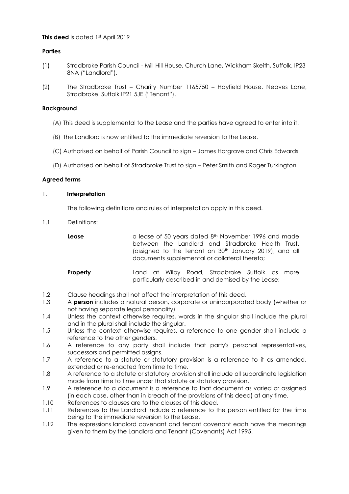#### **This deed** is dated 1st April 2019

#### **Parties**

- (1) Stradbroke Parish Council Mill Hill House, Church Lane, Wickham Skeith, Suffolk. IP23 8NA ("Landlord").
- (2) The Stradbroke Trust Charity Number 1165750 Hayfield House, Neaves Lane, Stradbroke. Suffolk IP21 5JE ("Tenant").

#### **Background**

- (A) This deed is supplemental to the Lease and the parties have agreed to enter into it.
- (B) The Landlord is now entitled to the immediate reversion to the Lease.
- (C) Authorised on behalf of Parish Council to sign James Hargrave and Chris Edwards
- (D) Authorised on behalf of Stradbroke Trust to sign Peter Smith and Roger Turkington

#### **Agreed terms**

#### 1. **Interpretation**

The following definitions and rules of interpretation apply in this deed.

1.1 Definitions:

Lease a lease of 50 years dated 8<sup>th</sup> November 1996 and made between the Landlord and Stradbroke Health Trust, (assigned to the Tenant on 30<sup>th</sup> January 2019), and all documents supplemental or collateral thereto;

- **Property Land at Wilby Road, Stradbroke Suffolk as more** particularly described in and demised by the Lease;
- 1.2 Clause headings shall not affect the interpretation of this deed.
- 1.3 A **person** includes a natural person, corporate or unincorporated body (whether or not having separate legal personality)
- 1.4 Unless the context otherwise requires, words in the singular shall include the plural and in the plural shall include the singular.
- 1.5 Unless the context otherwise requires, a reference to one gender shall include a reference to the other genders.
- 1.6 A reference to any party shall include that party's personal representatives, successors and permitted assigns.
- 1.7 A reference to a statute or statutory provision is a reference to it as amended, extended or re-enacted from time to time.
- 1.8 A reference to a statute or statutory provision shall include all subordinate legislation made from time to time under that statute or statutory provision.
- 1.9 A reference to a document is a reference to that document as varied or assigned (in each case, other than in breach of the provisions of this deed) at any time.
- 1.10 References to clauses are to the clauses of this deed.
- 1.11 References to the Landlord include a reference to the person entitled for the time being to the immediate reversion to the Lease.
- 1.12 The expressions landlord covenant and tenant covenant each have the meanings given to them by the Landlord and Tenant (Covenants) Act 1995.